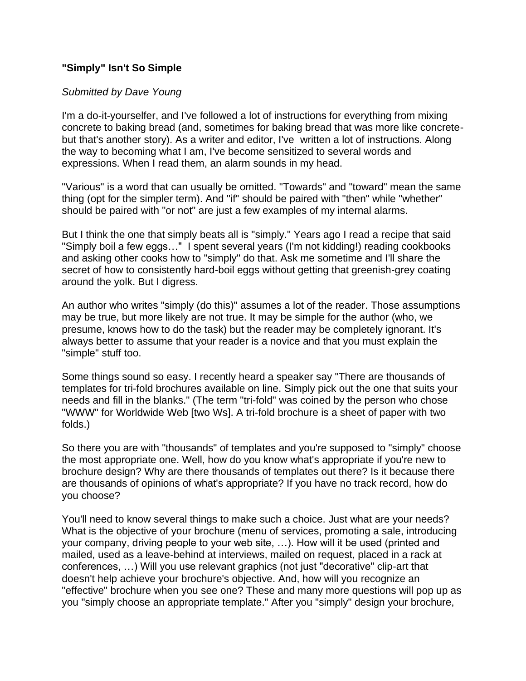## **"Simply" Isn't So Simple**

## *Submitted by Dave Young*

I'm a do-it-yourselfer, and I've followed a lot of instructions for everything from mixing concrete to baking bread (and, sometimes for baking bread that was more like concretebut that's another story). As a writer and editor, I've written a lot of instructions. Along the way to becoming what I am, I've become sensitized to several words and expressions. When I read them, an alarm sounds in my head.

"Various" is a word that can usually be omitted. "Towards" and "toward" mean the same thing (opt for the simpler term). And "if" should be paired with "then" while "whether" should be paired with "or not" are just a few examples of my internal alarms.

But I think the one that simply beats all is "simply." Years ago I read a recipe that said "Simply boil a few eggs…" I spent several years (I'm not kidding!) reading cookbooks and asking other cooks how to "simply" do that. Ask me sometime and I'll share the secret of how to consistently hard-boil eggs without getting that greenish-grey coating around the yolk. But I digress.

An author who writes "simply (do this)" assumes a lot of the reader. Those assumptions may be true, but more likely are not true. It may be simple for the author (who, we presume, knows how to do the task) but the reader may be completely ignorant. It's always better to assume that your reader is a novice and that you must explain the "simple" stuff too.

Some things sound so easy. I recently heard a speaker say "There are thousands of templates for tri-fold brochures available on line. Simply pick out the one that suits your needs and fill in the blanks." (The term "tri-fold" was coined by the person who chose "WWW" for Worldwide Web [two Ws]. A tri-fold brochure is a sheet of paper with two folds.)

So there you are with "thousands" of templates and you're supposed to "simply" choose the most appropriate one. Well, how do you know what's appropriate if you're new to brochure design? Why are there thousands of templates out there? Is it because there are thousands of opinions of what's appropriate? If you have no track record, how do you choose?

You'll need to know several things to make such a choice. Just what are your needs? What is the objective of your brochure (menu of services, promoting a sale, introducing your company, driving people to your web site, …). How will it be used (printed and mailed, used as a leave-behind at interviews, mailed on request, placed in a rack at conferences, …) Will you use relevant graphics (not just "decorative" clip-art that doesn't help achieve your brochure's objective. And, how will you recognize an "effective" brochure when you see one? These and many more questions will pop up as you "simply choose an appropriate template." After you "simply" design your brochure,